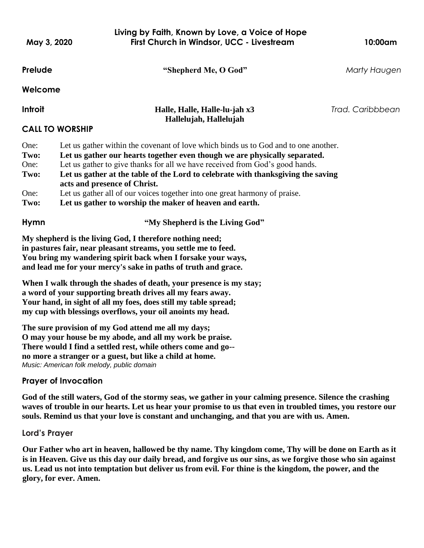**Prelude "Shepherd Me, O God"** *Marty Haugen* **Welcome Introit Halle, Halle, Halle-lu-jah x3** *Trad. Caribbbean* **Hallelujah, Hallelujah CALL TO WORSHIP**  One: **Two:** One: **Two:** One: **Two:** Let us gather within the covenant of love which binds us to God and to one another. **Let us gather our hearts together even though we are physically separated.** Let us gather to give thanks for all we have received from God's good hands. **Let us gather at the table of the Lord to celebrate with thanksgiving the saving acts and presence of Christ.** Let us gather all of our voices together into one great harmony of praise. **Let us gather to worship the maker of heaven and earth. Hymn "My Shepherd is the Living God" My shepherd is the living God, I therefore nothing need; in pastures fair, near pleasant streams, you settle me to feed. You bring my wandering spirit back when I forsake your ways, and lead me for your mercy's sake in paths of truth and grace. When I walk through the shades of death, your presence is my stay; Living by Faith, Known by Love, a Voice of Hope May 3, 2020 First Church in Windsor, UCC - Livestream 10:00am**

**a word of your supporting breath drives all my fears away. Your hand, in sight of all my foes, does still my table spread; my cup with blessings overflows, your oil anoints my head.**

**The sure provision of my God attend me all my days; O may your house be my abode, and all my work be praise. There would I find a settled rest, while others come and go- no more a stranger or a guest, but like a child at home.** *Music: American folk melody, public domain*

## **Prayer of Invocation**

**God of the still waters, God of the stormy seas, we gather in your calming presence. Silence the crashing waves of trouble in our hearts. Let us hear your promise to us that even in troubled times, you restore our souls. Remind us that your love is constant and unchanging, and that you are with us. Amen.** 

## **Lord's Prayer**

 **Our Father who art in heaven, hallowed be thy name. Thy kingdom come, Thy will be done on Earth as it is in Heaven. Give us this day our daily bread, and forgive us our sins, as we forgive those who sin against us. Lead us not into temptation but deliver us from evil. For thine is the kingdom, the power, and the glory, for ever. Amen.**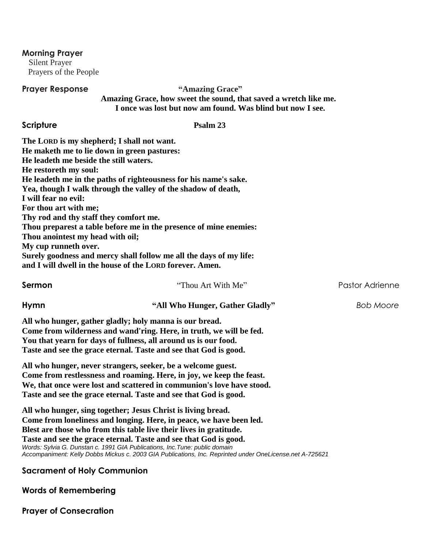**Morning Prayer**

 Silent Prayer Prayers of the People

# **Prayer Response "Amazing Grace"**

 **Amazing Grace, how sweet the sound, that saved a wretch like me. I once was lost but now am found. Was blind but now I see.**

# **Scripture Psalm 23**

| The LORD is my shepherd; I shall not want.<br>He maketh me to lie down in green pastures:<br>He leadeth me beside the still waters.<br>He restoreth my soul:<br>I will fear no evil:<br>For thou art with me;<br>Thy rod and thy staff they comfort me. | He leadeth me in the paths of righteousness for his name's sake.<br>Yea, though I walk through the valley of the shadow of death,                                                                                                                                                 |                        |
|---------------------------------------------------------------------------------------------------------------------------------------------------------------------------------------------------------------------------------------------------------|-----------------------------------------------------------------------------------------------------------------------------------------------------------------------------------------------------------------------------------------------------------------------------------|------------------------|
| Thou anointest my head with oil;                                                                                                                                                                                                                        | Thou preparest a table before me in the presence of mine enemies:                                                                                                                                                                                                                 |                        |
| My cup runneth over.                                                                                                                                                                                                                                    |                                                                                                                                                                                                                                                                                   |                        |
|                                                                                                                                                                                                                                                         | Surely goodness and mercy shall follow me all the days of my life:<br>and I will dwell in the house of the LORD forever. Amen.                                                                                                                                                    |                        |
| Sermon                                                                                                                                                                                                                                                  | "Thou Art With Me"                                                                                                                                                                                                                                                                | <b>Pastor Adrienne</b> |
| Hymn                                                                                                                                                                                                                                                    | "All Who Hunger, Gather Gladly"                                                                                                                                                                                                                                                   | <b>Bob Moore</b>       |
|                                                                                                                                                                                                                                                         | All who hunger, gather gladly; holy manna is our bread.<br>Come from wilderness and wand'ring. Here, in truth, we will be fed.<br>You that yearn for days of fullness, all around us is our food.<br>Taste and see the grace eternal. Taste and see that God is good.             |                        |
|                                                                                                                                                                                                                                                         | All who hunger, never strangers, seeker, be a welcome guest.<br>Come from restlessness and roaming. Here, in joy, we keep the feast.<br>We, that once were lost and scattered in communion's love have stood.<br>Taste and see the grace eternal. Taste and see that God is good. |                        |
|                                                                                                                                                                                                                                                         | All who hunger, sing together; Jesus Christ is living bread.<br>Come from loneliness and longing. Here, in peace, we have been led.<br>Blest are those who from this table live their lives in gratitude.<br>Taste and see the grace eternal. Taste and see that God is good.     |                        |

**Sacrament of Holy Communion**

*Words: Sylvia G. Dunstan c. 1991 GIA Publications, Inc.Tune: public domain*

*Accompaniment: Kelly Dobbs Mickus c. 2003 GIA Publications, Inc. Reprinted under OneLicense.net A-725621*

# **Words of Remembering**

**Prayer of Consecration**